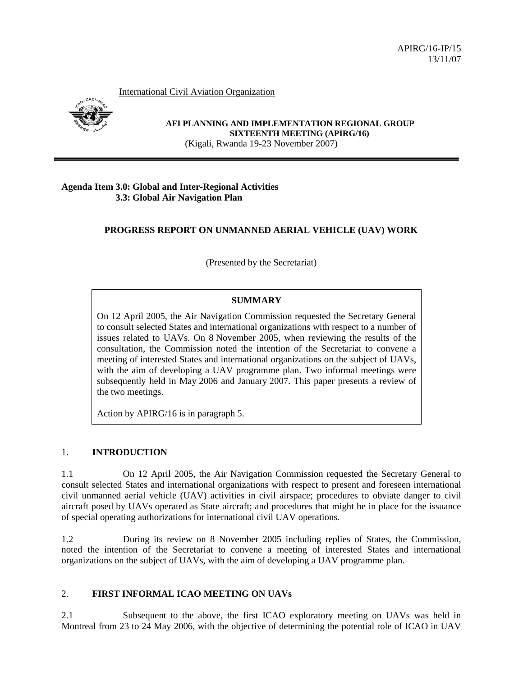International Civil Aviation Organization



**AFI PLANNING AND IMPLEMENTATION REGIONAL GROUP SIXTEENTH MEETING (APIRG/16)**  (Kigali, Rwanda 19-23 November 2007)

# **Agenda Item 3.0: Global and Inter-Regional Activities 3.3: Global Air Navigation Plan**

# **PROGRESS REPORT ON UNMANNED AERIAL VEHICLE (UAV) WORK**

(Presented by the Secretariat)

# **SUMMARY**

On 12 April 2005, the Air Navigation Commission requested the Secretary General to consult selected States and international organizations with respect to a number of issues related to UAVs. On 8 November 2005, when reviewing the results of the consultation, the Commission noted the intention of the Secretariat to convene a meeting of interested States and international organizations on the subject of UAVs, with the aim of developing a UAV programme plan. Two informal meetings were subsequently held in May 2006 and January 2007. This paper presents a review of the two meetings.

Action by APIRG/16 is in paragraph 5.

# 1. **INTRODUCTION**

1.1 On 12 April 2005, the Air Navigation Commission requested the Secretary General to consult selected States and international organizations with respect to present and foreseen international civil unmanned aerial vehicle (UAV) activities in civil airspace; procedures to obviate danger to civil aircraft posed by UAVs operated as State aircraft; and procedures that might be in place for the issuance of special operating authorizations for international civil UAV operations.

1.2 During its review on 8 November 2005 including replies of States, the Commission, noted the intention of the Secretariat to convene a meeting of interested States and international organizations on the subject of UAVs, with the aim of developing a UAV programme plan.

# 2. **FIRST INFORMAL ICAO MEETING ON UAVs**

2.1 Subsequent to the above, the first ICAO exploratory meeting on UAVs was held in Montreal from 23 to 24 May 2006, with the objective of determining the potential role of ICAO in UAV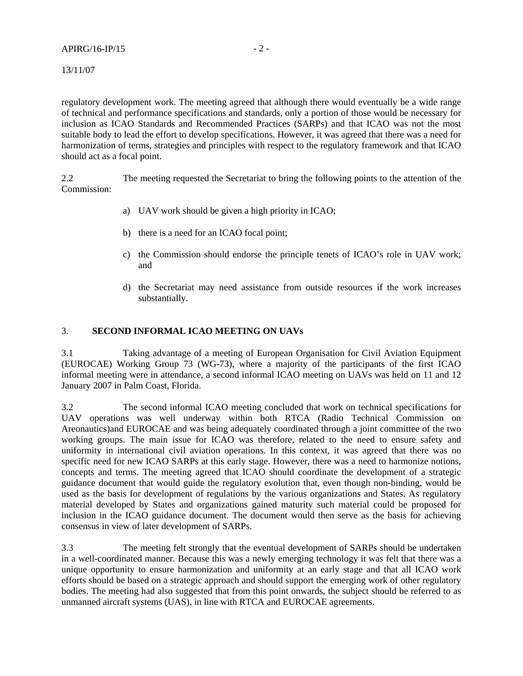13/11/07

regulatory development work. The meeting agreed that although there would eventually be a wide range of technical and performance specifications and standards, only a portion of those would be necessary for inclusion as ICAO Standards and Recommended Practices (SARPs) and that ICAO was not the most suitable body to lead the effort to develop specifications. However, it was agreed that there was a need for harmonization of terms, strategies and principles with respect to the regulatory framework and that ICAO should act as a focal point.

2.2 The meeting requested the Secretariat to bring the following points to the attention of the Commission:

- a) UAV work should be given a high priority in ICAO;
- b) there is a need for an ICAO focal point;
- c) the Commission should endorse the principle tenets of ICAO's role in UAV work; and
- d) the Secretariat may need assistance from outside resources if the work increases substantially.

### 3. **SECOND INFORMAL ICAO MEETING ON UAVs**

3.1 Taking advantage of a meeting of European Organisation for Civil Aviation Equipment (EUROCAE) Working Group 73 (WG-73), where a majority of the participants of the first ICAO informal meeting were in attendance, a second informal ICAO meeting on UAVs was held on 11 and 12 January 2007 in Palm Coast, Florida.

3.2 The second informal ICAO meeting concluded that work on technical specifications for UAV operations was well underway within both RTCA (Radio Technical Commission on Areonautics)and EUROCAE and was being adequately coordinated through a joint committee of the two working groups. The main issue for ICAO was therefore, related to the need to ensure safety and uniformity in international civil aviation operations. In this context, it was agreed that there was no specific need for new ICAO SARPs at this early stage. However, there was a need to harmonize notions, concepts and terms. The meeting agreed that ICAO should coordinate the development of a strategic guidance document that would guide the regulatory evolution that, even though non-binding, would be used as the basis for development of regulations by the various organizations and States. As regulatory material developed by States and organizations gained maturity such material could be proposed for inclusion in the ICAO guidance document. The document would then serve as the basis for achieving consensus in view of later development of SARPs.

3.3 The meeting felt strongly that the eventual development of SARPs should be undertaken in a well-coordinated manner. Because this was a newly emerging technology it was felt that there was a unique opportunity to ensure harmonization and uniformity at an early stage and that all ICAO work efforts should be based on a strategic approach and should support the emerging work of other regulatory bodies. The meeting had also suggested that from this point onwards, the subject should be referred to as unmanned aircraft systems (UAS), in line with RTCA and EUROCAE agreements.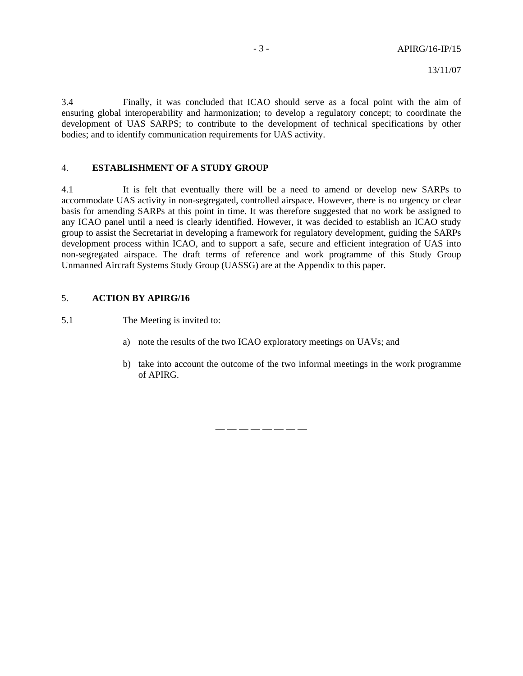3.4 Finally, it was concluded that ICAO should serve as a focal point with the aim of ensuring global interoperability and harmonization; to develop a regulatory concept; to coordinate the development of UAS SARPS; to contribute to the development of technical specifications by other bodies; and to identify communication requirements for UAS activity.

### 4. **ESTABLISHMENT OF A STUDY GROUP**

4.1 It is felt that eventually there will be a need to amend or develop new SARPs to accommodate UAS activity in non-segregated, controlled airspace. However, there is no urgency or clear basis for amending SARPs at this point in time. It was therefore suggested that no work be assigned to any ICAO panel until a need is clearly identified. However, it was decided to establish an ICAO study group to assist the Secretariat in developing a framework for regulatory development, guiding the SARPs development process within ICAO, and to support a safe, secure and efficient integration of UAS into non-segregated airspace. The draft terms of reference and work programme of this Study Group Unmanned Aircraft Systems Study Group (UASSG) are at the Appendix to this paper.

## 5. **ACTION BY APIRG/16**

5.1 The Meeting is invited to:

- a) note the results of the two ICAO exploratory meetings on UAVs; and
- b) take into account the outcome of the two informal meetings in the work programme of APIRG.

— — — — — — — —